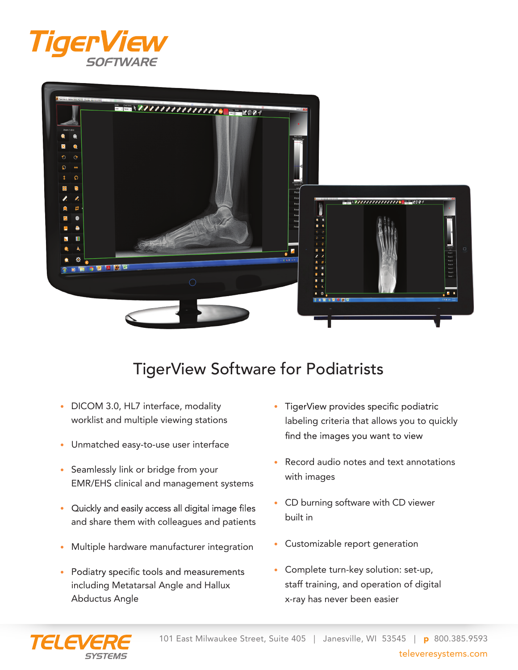



## TigerView Software for Podiatrists

- DICOM 3.0, HL7 interface, modality worklist and multiple viewing stations
- Unmatched easy-to-use user interface
- Seamlessly link or bridge from your EMR/EHS clinical and management systems
- Quickly and easily access all digital image files and share them with colleagues and patients
- Multiple hardware manufacturer integration
- Podiatry specific tools and measurements including Metatarsal Angle and Hallux Abductus Angle
- TigerView provides specific podiatric labeling criteria that allows you to quickly find the images you want to view
- Record audio notes and text annotations with images
- • CD burning software with CD viewer built in
- Customizable report generation
- Complete turn-key solution: set-up, staff training, and operation of digital x-ray has never been easier